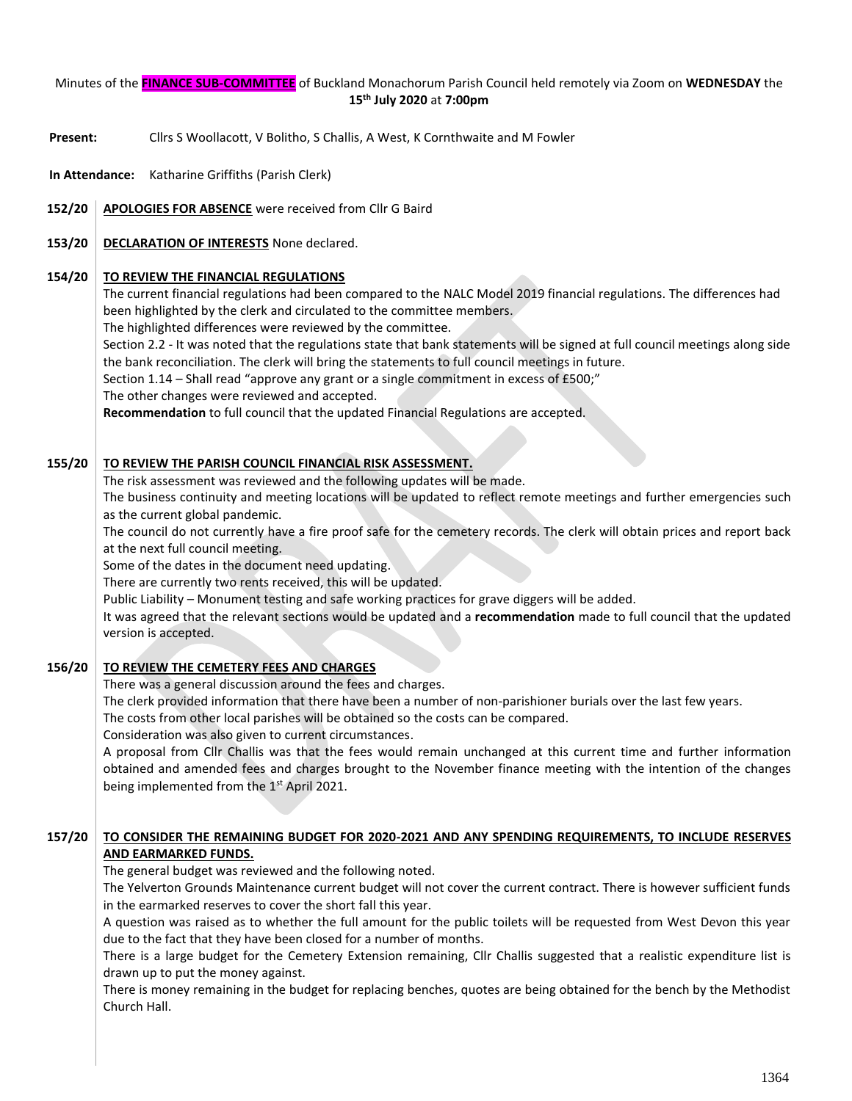## Minutes of the **FINANCE SUB-COMMITTEE** of Buckland Monachorum Parish Council held remotely via Zoom on **WEDNESDAY** the **15th July 2020** at **7:00pm**

- **Present:** Cllrs S Woollacott, V Bolitho, S Challis, A West, K Cornthwaite and M Fowler
- **In Attendance:** Katharine Griffiths (Parish Clerk)
- **152/20 APOLOGIES FOR ABSENCE** were received from Cllr G Baird
- **153/20 DECLARATION OF INTERESTS** None declared.

## **154/20 TO REVIEW THE FINANCIAL REGULATIONS**

The current financial regulations had been compared to the NALC Model 2019 financial regulations. The differences had been highlighted by the clerk and circulated to the committee members.

The highlighted differences were reviewed by the committee.

Section 2.2 - It was noted that the regulations state that bank statements will be signed at full council meetings along side the bank reconciliation. The clerk will bring the statements to full council meetings in future.

Section 1.14 – Shall read "approve any grant or a single commitment in excess of £500;"

The other changes were reviewed and accepted.

**Recommendation** to full council that the updated Financial Regulations are accepted.

#### **155/20 TO REVIEW THE PARISH COUNCIL FINANCIAL RISK ASSESSMENT.**

The risk assessment was reviewed and the following updates will be made.

The business continuity and meeting locations will be updated to reflect remote meetings and further emergencies such as the current global pandemic.

The council do not currently have a fire proof safe for the cemetery records. The clerk will obtain prices and report back at the next full council meeting.

Some of the dates in the document need updating.

There are currently two rents received, this will be updated.

Public Liability – Monument testing and safe working practices for grave diggers will be added.

It was agreed that the relevant sections would be updated and a **recommendation** made to full council that the updated version is accepted.

#### **156/20 TO REVIEW THE CEMETERY FEES AND CHARGES**

There was a general discussion around the fees and charges.

The clerk provided information that there have been a number of non-parishioner burials over the last few years.

The costs from other local parishes will be obtained so the costs can be compared.

Consideration was also given to current circumstances.

A proposal from Cllr Challis was that the fees would remain unchanged at this current time and further information obtained and amended fees and charges brought to the November finance meeting with the intention of the changes being implemented from the 1<sup>st</sup> April 2021.

### **157/20 TO CONSIDER THE REMAINING BUDGET FOR 2020-2021 AND ANY SPENDING REQUIREMENTS, TO INCLUDE RESERVES AND EARMARKED FUNDS.**

The general budget was reviewed and the following noted.

The Yelverton Grounds Maintenance current budget will not cover the current contract. There is however sufficient funds in the earmarked reserves to cover the short fall this year.

A question was raised as to whether the full amount for the public toilets will be requested from West Devon this year due to the fact that they have been closed for a number of months.

There is a large budget for the Cemetery Extension remaining, Cllr Challis suggested that a realistic expenditure list is drawn up to put the money against.

There is money remaining in the budget for replacing benches, quotes are being obtained for the bench by the Methodist Church Hall.